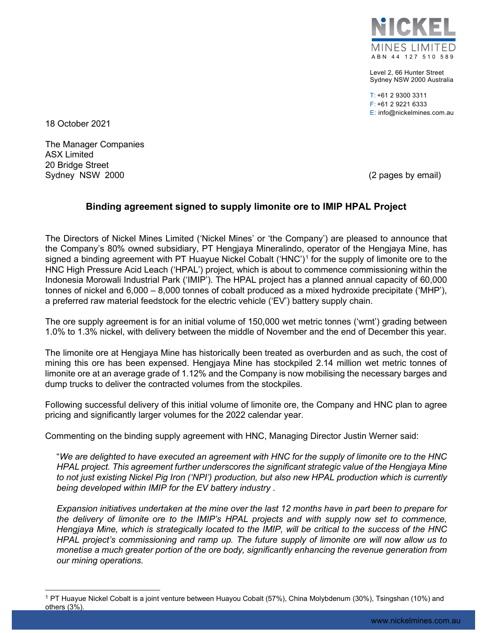

Level 2, 66 Hunter Street Sydney NSW 2000 Australia

T: +61 2 9300 3311 F: +61 2 9221 6333 E: info@nickelmines.com.au

18 October 2021

The Manager Companies ASX Limited 20 Bridge Street Sydney NSW 2000 (2 pages by email)

## **Binding agreement signed to supply limonite ore to IMIP HPAL Project**

The Directors of Nickel Mines Limited ('Nickel Mines' or 'the Company') are pleased to announce that the Company's 80% owned subsidiary, PT Hengjaya Mineralindo, operator of the Hengjaya Mine, has signed a binding agreement with PT Huayue Nickel Cobalt ('HNC')<sup>[1](#page-0-0)</sup> for the supply of limonite ore to the HNC High Pressure Acid Leach ('HPAL') project, which is about to commence commissioning within the Indonesia Morowali Industrial Park ('IMIP'). The HPAL project has a planned annual capacity of 60,000 tonnes of nickel and 6,000 – 8,000 tonnes of cobalt produced as a mixed hydroxide precipitate ('MHP'), a preferred raw material feedstock for the electric vehicle ('EV') battery supply chain.

The ore supply agreement is for an initial volume of 150,000 wet metric tonnes ('wmt') grading between 1.0% to 1.3% nickel, with delivery between the middle of November and the end of December this year.

The limonite ore at Hengjaya Mine has historically been treated as overburden and as such, the cost of mining this ore has been expensed. Hengjaya Mine has stockpiled 2.14 million wet metric tonnes of limonite ore at an average grade of 1.12% and the Company is now mobilising the necessary barges and dump trucks to deliver the contracted volumes from the stockpiles.

Following successful delivery of this initial volume of limonite ore, the Company and HNC plan to agree pricing and significantly larger volumes for the 2022 calendar year.

Commenting on the binding supply agreement with HNC, Managing Director Justin Werner said:

"*We are delighted to have executed an agreement with HNC for the supply of limonite ore to the HNC HPAL project. This agreement further underscores the significant strategic value of the Hengjaya Mine to not just existing Nickel Pig Iron ('NPI') production, but also new HPAL production which is currently being developed within IMIP for the EV battery industry .* 

*Expansion initiatives undertaken at the mine over the last 12 months have in part been to prepare for the delivery of limonite ore to the IMIP's HPAL projects and with supply now set to commence, Hengjaya Mine, which is strategically located to the IMIP, will be critical to the success of the HNC HPAL project's commissioning and ramp up. The future supply of limonite ore will now allow us to monetise a much greater portion of the ore body, significantly enhancing the revenue generation from our mining operations.*

<span id="page-0-0"></span><sup>1</sup> PT Huayue Nickel Cobalt is a joint venture between Huayou Cobalt (57%), China Molybdenum (30%), Tsingshan (10%) and others (3%).